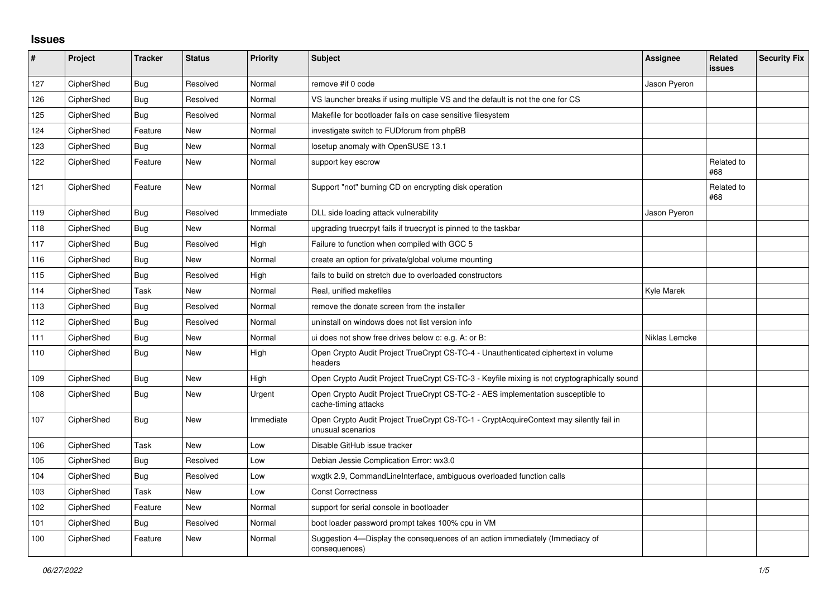## **Issues**

| $\sharp$ | Project    | <b>Tracker</b> | <b>Status</b> | <b>Priority</b> | <b>Subject</b>                                                                                              | <b>Assignee</b> | Related<br>issues | <b>Security Fix</b> |
|----------|------------|----------------|---------------|-----------------|-------------------------------------------------------------------------------------------------------------|-----------------|-------------------|---------------------|
| 127      | CipherShed | Bug            | Resolved      | Normal          | remove #if 0 code                                                                                           | Jason Pyeron    |                   |                     |
| 126      | CipherShed | <b>Bug</b>     | Resolved      | Normal          | VS launcher breaks if using multiple VS and the default is not the one for CS                               |                 |                   |                     |
| 125      | CipherShed | Bug            | Resolved      | Normal          | Makefile for bootloader fails on case sensitive filesystem                                                  |                 |                   |                     |
| 124      | CipherShed | Feature        | <b>New</b>    | Normal          | investigate switch to FUDforum from phpBB                                                                   |                 |                   |                     |
| 123      | CipherShed | Bug            | <b>New</b>    | Normal          | losetup anomaly with OpenSUSE 13.1                                                                          |                 |                   |                     |
| 122      | CipherShed | Feature        | <b>New</b>    | Normal          | support key escrow                                                                                          |                 | Related to<br>#68 |                     |
| 121      | CipherShed | Feature        | <b>New</b>    | Normal          | Support "not" burning CD on encrypting disk operation                                                       |                 | Related to<br>#68 |                     |
| 119      | CipherShed | Bug            | Resolved      | Immediate       | DLL side loading attack vulnerability                                                                       | Jason Pyeron    |                   |                     |
| 118      | CipherShed | <b>Bug</b>     | <b>New</b>    | Normal          | upgrading truecrpyt fails if truecrypt is pinned to the taskbar                                             |                 |                   |                     |
| 117      | CipherShed | <b>Bug</b>     | Resolved      | High            | Failure to function when compiled with GCC 5                                                                |                 |                   |                     |
| 116      | CipherShed | Bug            | <b>New</b>    | Normal          | create an option for private/global volume mounting                                                         |                 |                   |                     |
| 115      | CipherShed | <b>Bug</b>     | Resolved      | High            | fails to build on stretch due to overloaded constructors                                                    |                 |                   |                     |
| 114      | CipherShed | Task           | New           | Normal          | Real, unified makefiles                                                                                     | Kyle Marek      |                   |                     |
| 113      | CipherShed | Bug            | Resolved      | Normal          | remove the donate screen from the installer                                                                 |                 |                   |                     |
| 112      | CipherShed | <b>Bug</b>     | Resolved      | Normal          | uninstall on windows does not list version info                                                             |                 |                   |                     |
| 111      | CipherShed | Bug            | <b>New</b>    | Normal          | ui does not show free drives below c: e.g. A: or B:                                                         | Niklas Lemcke   |                   |                     |
| 110      | CipherShed | Bug            | New           | High            | Open Crypto Audit Project TrueCrypt CS-TC-4 - Unauthenticated ciphertext in volume<br>headers               |                 |                   |                     |
| 109      | CipherShed | <b>Bug</b>     | New           | High            | Open Crypto Audit Project TrueCrypt CS-TC-3 - Keyfile mixing is not cryptographically sound                 |                 |                   |                     |
| 108      | CipherShed | Bug            | <b>New</b>    | Urgent          | Open Crypto Audit Project TrueCrypt CS-TC-2 - AES implementation susceptible to<br>cache-timing attacks     |                 |                   |                     |
| 107      | CipherShed | <b>Bug</b>     | <b>New</b>    | Immediate       | Open Crypto Audit Project TrueCrypt CS-TC-1 - CryptAcquireContext may silently fail in<br>unusual scenarios |                 |                   |                     |
| 106      | CipherShed | Task           | <b>New</b>    | Low             | Disable GitHub issue tracker                                                                                |                 |                   |                     |
| 105      | CipherShed | Bug            | Resolved      | Low             | Debian Jessie Complication Error: wx3.0                                                                     |                 |                   |                     |
| 104      | CipherShed | <b>Bug</b>     | Resolved      | Low             | wxgtk 2.9, CommandLineInterface, ambiguous overloaded function calls                                        |                 |                   |                     |
| 103      | CipherShed | Task           | <b>New</b>    | Low             | <b>Const Correctness</b>                                                                                    |                 |                   |                     |
| 102      | CipherShed | Feature        | <b>New</b>    | Normal          | support for serial console in bootloader                                                                    |                 |                   |                     |
| 101      | CipherShed | Bug            | Resolved      | Normal          | boot loader password prompt takes 100% cpu in VM                                                            |                 |                   |                     |
| 100      | CipherShed | Feature        | <b>New</b>    | Normal          | Suggestion 4—Display the consequences of an action immediately (Immediacy of<br>consequences)               |                 |                   |                     |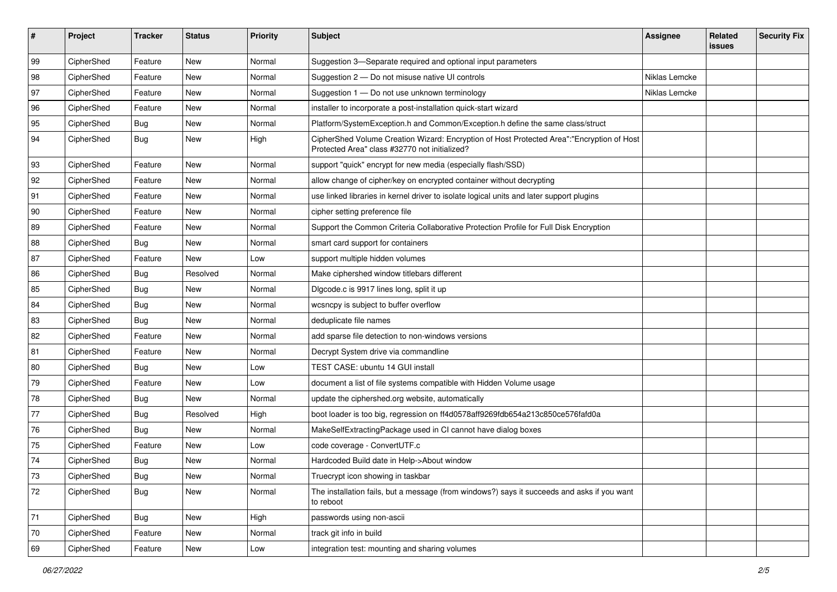| #  | Project    | <b>Tracker</b> | <b>Status</b> | <b>Priority</b> | <b>Subject</b>                                                                                                                             | Assignee      | Related<br>issues | <b>Security Fix</b> |
|----|------------|----------------|---------------|-----------------|--------------------------------------------------------------------------------------------------------------------------------------------|---------------|-------------------|---------------------|
| 99 | CipherShed | Feature        | <b>New</b>    | Normal          | Suggestion 3-Separate required and optional input parameters                                                                               |               |                   |                     |
| 98 | CipherShed | Feature        | New           | Normal          | Suggestion 2 - Do not misuse native UI controls                                                                                            | Niklas Lemcke |                   |                     |
| 97 | CipherShed | Feature        | New           | Normal          | Suggestion 1 - Do not use unknown terminology                                                                                              | Niklas Lemcke |                   |                     |
| 96 | CipherShed | Feature        | New           | Normal          | installer to incorporate a post-installation quick-start wizard                                                                            |               |                   |                     |
| 95 | CipherShed | Bug            | New           | Normal          | Platform/SystemException.h and Common/Exception.h define the same class/struct                                                             |               |                   |                     |
| 94 | CipherShed | <b>Bug</b>     | New           | High            | CipherShed Volume Creation Wizard: Encryption of Host Protected Area":"Encryption of Host<br>Protected Area" class #32770 not initialized? |               |                   |                     |
| 93 | CipherShed | Feature        | New           | Normal          | support "quick" encrypt for new media (especially flash/SSD)                                                                               |               |                   |                     |
| 92 | CipherShed | Feature        | New           | Normal          | allow change of cipher/key on encrypted container without decrypting                                                                       |               |                   |                     |
| 91 | CipherShed | Feature        | <b>New</b>    | Normal          | use linked libraries in kernel driver to isolate logical units and later support plugins                                                   |               |                   |                     |
| 90 | CipherShed | Feature        | New           | Normal          | cipher setting preference file                                                                                                             |               |                   |                     |
| 89 | CipherShed | Feature        | New           | Normal          | Support the Common Criteria Collaborative Protection Profile for Full Disk Encryption                                                      |               |                   |                     |
| 88 | CipherShed | <b>Bug</b>     | New           | Normal          | smart card support for containers                                                                                                          |               |                   |                     |
| 87 | CipherShed | Feature        | New           | Low             | support multiple hidden volumes                                                                                                            |               |                   |                     |
| 86 | CipherShed | <b>Bug</b>     | Resolved      | Normal          | Make ciphershed window titlebars different                                                                                                 |               |                   |                     |
| 85 | CipherShed | <b>Bug</b>     | New           | Normal          | Digcode.c is 9917 lines long, split it up                                                                                                  |               |                   |                     |
| 84 | CipherShed | <b>Bug</b>     | New           | Normal          | wcsncpy is subject to buffer overflow                                                                                                      |               |                   |                     |
| 83 | CipherShed | <b>Bug</b>     | New           | Normal          | deduplicate file names                                                                                                                     |               |                   |                     |
| 82 | CipherShed | Feature        | <b>New</b>    | Normal          | add sparse file detection to non-windows versions                                                                                          |               |                   |                     |
| 81 | CipherShed | Feature        | New           | Normal          | Decrypt System drive via commandline                                                                                                       |               |                   |                     |
| 80 | CipherShed | Bug            | New           | Low             | TEST CASE: ubuntu 14 GUI install                                                                                                           |               |                   |                     |
| 79 | CipherShed | Feature        | New           | Low             | document a list of file systems compatible with Hidden Volume usage                                                                        |               |                   |                     |
| 78 | CipherShed | Bug            | New           | Normal          | update the ciphershed.org website, automatically                                                                                           |               |                   |                     |
| 77 | CipherShed | <b>Bug</b>     | Resolved      | High            | boot loader is too big, regression on ff4d0578aff9269fdb654a213c850ce576fafd0a                                                             |               |                   |                     |
| 76 | CipherShed | <b>Bug</b>     | New           | Normal          | MakeSelfExtractingPackage used in CI cannot have dialog boxes                                                                              |               |                   |                     |
| 75 | CipherShed | Feature        | New           | Low             | code coverage - ConvertUTF.c                                                                                                               |               |                   |                     |
| 74 | CipherShed | Bug            | New           | Normal          | Hardcoded Build date in Help->About window                                                                                                 |               |                   |                     |
| 73 | CipherShed | Bug            | New           | Normal          | Truecrypt icon showing in taskbar                                                                                                          |               |                   |                     |
| 72 | CipherShed | <b>Bug</b>     | New           | Normal          | The installation fails, but a message (from windows?) says it succeeds and asks if you want<br>to reboot                                   |               |                   |                     |
| 71 | CipherShed | <b>Bug</b>     | New           | High            | passwords using non-ascii                                                                                                                  |               |                   |                     |
| 70 | CipherShed | Feature        | <b>New</b>    | Normal          | track git info in build                                                                                                                    |               |                   |                     |
| 69 | CipherShed | Feature        | New           | Low             | integration test: mounting and sharing volumes                                                                                             |               |                   |                     |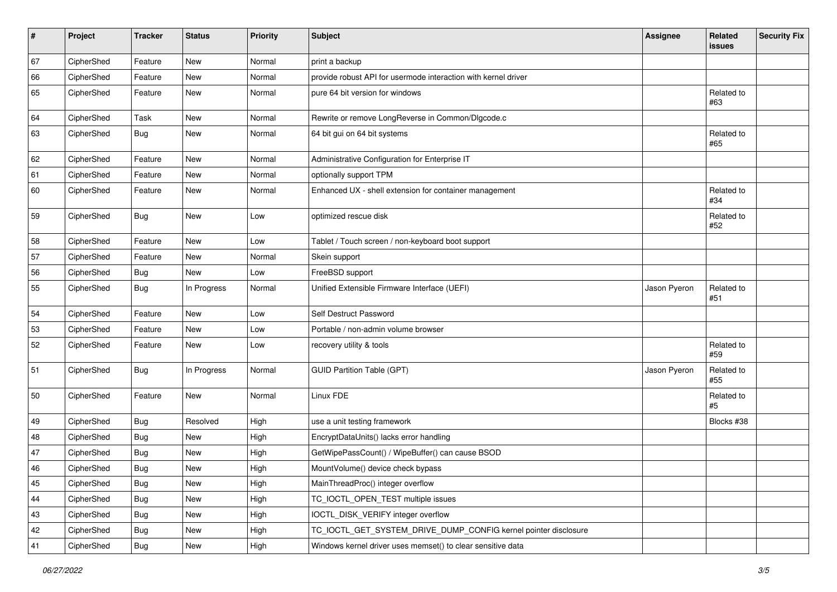| #  | Project    | <b>Tracker</b> | <b>Status</b> | <b>Priority</b> | <b>Subject</b>                                                  | <b>Assignee</b> | Related<br><b>issues</b> | <b>Security Fix</b> |
|----|------------|----------------|---------------|-----------------|-----------------------------------------------------------------|-----------------|--------------------------|---------------------|
| 67 | CipherShed | Feature        | <b>New</b>    | Normal          | print a backup                                                  |                 |                          |                     |
| 66 | CipherShed | Feature        | <b>New</b>    | Normal          | provide robust API for usermode interaction with kernel driver  |                 |                          |                     |
| 65 | CipherShed | Feature        | New           | Normal          | pure 64 bit version for windows                                 |                 | Related to<br>#63        |                     |
| 64 | CipherShed | Task           | <b>New</b>    | Normal          | Rewrite or remove LongReverse in Common/Dlgcode.c               |                 |                          |                     |
| 63 | CipherShed | <b>Bug</b>     | <b>New</b>    | Normal          | 64 bit gui on 64 bit systems                                    |                 | Related to<br>#65        |                     |
| 62 | CipherShed | Feature        | <b>New</b>    | Normal          | Administrative Configuration for Enterprise IT                  |                 |                          |                     |
| 61 | CipherShed | Feature        | <b>New</b>    | Normal          | optionally support TPM                                          |                 |                          |                     |
| 60 | CipherShed | Feature        | <b>New</b>    | Normal          | Enhanced UX - shell extension for container management          |                 | Related to<br>#34        |                     |
| 59 | CipherShed | Bug            | New           | Low             | optimized rescue disk                                           |                 | Related to<br>#52        |                     |
| 58 | CipherShed | Feature        | <b>New</b>    | Low             | Tablet / Touch screen / non-keyboard boot support               |                 |                          |                     |
| 57 | CipherShed | Feature        | <b>New</b>    | Normal          | Skein support                                                   |                 |                          |                     |
| 56 | CipherShed | Bug            | <b>New</b>    | Low             | FreeBSD support                                                 |                 |                          |                     |
| 55 | CipherShed | <b>Bug</b>     | In Progress   | Normal          | Unified Extensible Firmware Interface (UEFI)                    | Jason Pyeron    | Related to<br>#51        |                     |
| 54 | CipherShed | Feature        | <b>New</b>    | Low             | Self Destruct Password                                          |                 |                          |                     |
| 53 | CipherShed | Feature        | <b>New</b>    | Low             | Portable / non-admin volume browser                             |                 |                          |                     |
| 52 | CipherShed | Feature        | New           | Low             | recovery utility & tools                                        |                 | Related to<br>#59        |                     |
| 51 | CipherShed | <b>Bug</b>     | In Progress   | Normal          | <b>GUID Partition Table (GPT)</b>                               | Jason Pyeron    | Related to<br>#55        |                     |
| 50 | CipherShed | Feature        | <b>New</b>    | Normal          | Linux FDE                                                       |                 | Related to<br>#5         |                     |
| 49 | CipherShed | <b>Bug</b>     | Resolved      | High            | use a unit testing framework                                    |                 | Blocks #38               |                     |
| 48 | CipherShed | <b>Bug</b>     | <b>New</b>    | High            | EncryptDataUnits() lacks error handling                         |                 |                          |                     |
| 47 | CipherShed | <b>Bug</b>     | <b>New</b>    | High            | GetWipePassCount() / WipeBuffer() can cause BSOD                |                 |                          |                     |
| 46 | CipherShed | Bug            | <b>New</b>    | High            | MountVolume() device check bypass                               |                 |                          |                     |
| 45 | CipherShed | <b>Bug</b>     | New           | High            | MainThreadProc() integer overflow                               |                 |                          |                     |
| 44 | CipherShed | <b>Bug</b>     | New           | High            | TC_IOCTL_OPEN_TEST multiple issues                              |                 |                          |                     |
| 43 | CipherShed | <b>Bug</b>     | New           | High            | IOCTL_DISK_VERIFY integer overflow                              |                 |                          |                     |
| 42 | CipherShed | <b>Bug</b>     | New           | High            | TC_IOCTL_GET_SYSTEM_DRIVE_DUMP_CONFIG kernel pointer disclosure |                 |                          |                     |
| 41 | CipherShed | Bug            | New           | High            | Windows kernel driver uses memset() to clear sensitive data     |                 |                          |                     |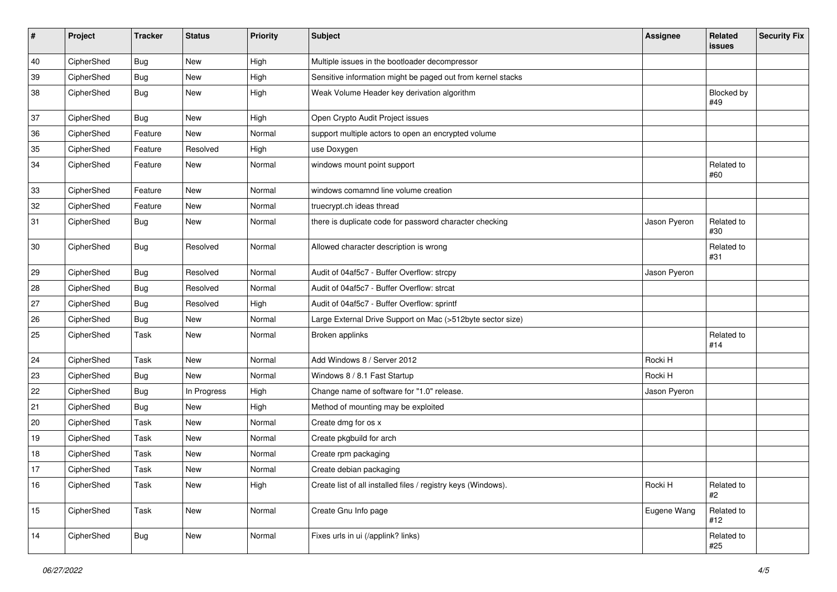| #  | Project    | <b>Tracker</b> | <b>Status</b> | <b>Priority</b> | <b>Subject</b>                                                | <b>Assignee</b> | Related<br>issues | <b>Security Fix</b> |
|----|------------|----------------|---------------|-----------------|---------------------------------------------------------------|-----------------|-------------------|---------------------|
| 40 | CipherShed | <b>Bug</b>     | <b>New</b>    | High            | Multiple issues in the bootloader decompressor                |                 |                   |                     |
| 39 | CipherShed | <b>Bug</b>     | New           | High            | Sensitive information might be paged out from kernel stacks   |                 |                   |                     |
| 38 | CipherShed | <b>Bug</b>     | New           | High            | Weak Volume Header key derivation algorithm                   |                 | Blocked by<br>#49 |                     |
| 37 | CipherShed | Bug            | New           | High            | Open Crypto Audit Project issues                              |                 |                   |                     |
| 36 | CipherShed | Feature        | <b>New</b>    | Normal          | support multiple actors to open an encrypted volume           |                 |                   |                     |
| 35 | CipherShed | Feature        | Resolved      | High            | use Doxygen                                                   |                 |                   |                     |
| 34 | CipherShed | Feature        | New           | Normal          | windows mount point support                                   |                 | Related to<br>#60 |                     |
| 33 | CipherShed | Feature        | New           | Normal          | windows comamnd line volume creation                          |                 |                   |                     |
| 32 | CipherShed | Feature        | New           | Normal          | truecrypt.ch ideas thread                                     |                 |                   |                     |
| 31 | CipherShed | <b>Bug</b>     | New           | Normal          | there is duplicate code for password character checking       | Jason Pyeron    | Related to<br>#30 |                     |
| 30 | CipherShed | <b>Bug</b>     | Resolved      | Normal          | Allowed character description is wrong                        |                 | Related to<br>#31 |                     |
| 29 | CipherShed | <b>Bug</b>     | Resolved      | Normal          | Audit of 04af5c7 - Buffer Overflow: strcpy                    | Jason Pyeron    |                   |                     |
| 28 | CipherShed | <b>Bug</b>     | Resolved      | Normal          | Audit of 04af5c7 - Buffer Overflow: strcat                    |                 |                   |                     |
| 27 | CipherShed | <b>Bug</b>     | Resolved      | High            | Audit of 04af5c7 - Buffer Overflow: sprintf                   |                 |                   |                     |
| 26 | CipherShed | <b>Bug</b>     | New           | Normal          | Large External Drive Support on Mac (>512byte sector size)    |                 |                   |                     |
| 25 | CipherShed | Task           | New           | Normal          | Broken applinks                                               |                 | Related to<br>#14 |                     |
| 24 | CipherShed | Task           | <b>New</b>    | Normal          | Add Windows 8 / Server 2012                                   | Rocki H         |                   |                     |
| 23 | CipherShed | Bug            | New           | Normal          | Windows 8 / 8.1 Fast Startup                                  | Rocki H         |                   |                     |
| 22 | CipherShed | <b>Bug</b>     | In Progress   | High            | Change name of software for "1.0" release.                    | Jason Pyeron    |                   |                     |
| 21 | CipherShed | Bug            | New           | High            | Method of mounting may be exploited                           |                 |                   |                     |
| 20 | CipherShed | Task           | New           | Normal          | Create dmg for os x                                           |                 |                   |                     |
| 19 | CipherShed | Task           | <b>New</b>    | Normal          | Create pkgbuild for arch                                      |                 |                   |                     |
| 18 | CipherShed | Task           | New           | Normal          | Create rpm packaging                                          |                 |                   |                     |
| 17 | CipherShed | Task           | <b>New</b>    | Normal          | Create debian packaging                                       |                 |                   |                     |
| 16 | CipherShed | Task           | New           | High            | Create list of all installed files / registry keys (Windows). | Rocki H         | Related to<br>#2  |                     |
| 15 | CipherShed | Task           | New           | Normal          | Create Gnu Info page                                          | Eugene Wang     | Related to<br>#12 |                     |
| 14 | CipherShed | <b>Bug</b>     | New           | Normal          | Fixes urls in ui (/applink? links)                            |                 | Related to<br>#25 |                     |